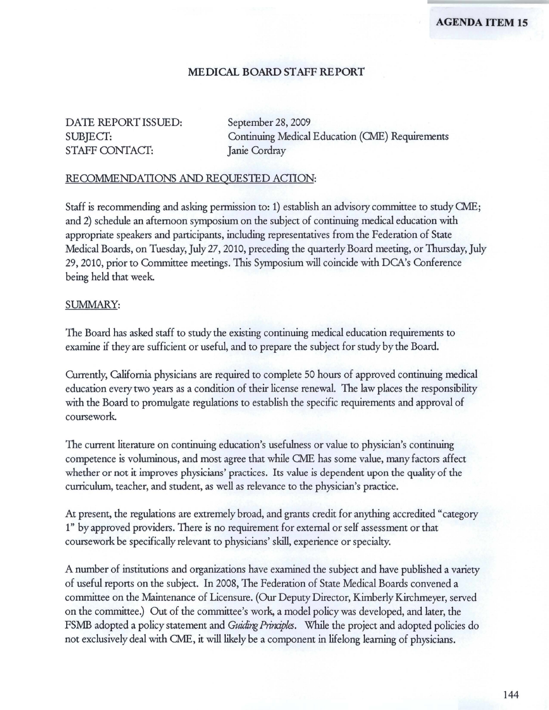### **MEDICAL BOARD STAFF REPORT**

# DATE REPORT ISSUED: September 28, 2009 STAFF CONTACT: Janie Cordray

SUBJECT: Continuing Medical Education (CME) Requirements

#### RECOMMENDATIONS AND REQUESTED ACTION:

Staff is recommending and asking permission to: 1) establish an advisory committee to study CME; and 2) schedule an afternoon symposium on the subject of continuing medical education with appropriate speakers and participants, including representatives from the Federation of State Medical Boards, on Tuesday, July 27, 2010, preceding the quarterly Board meeting, or Thursday, July 29, 2010, prior to Committee meetings. This Symposium will coincide with DCA's Conference being held that week

#### SUMMARY:

The Board has asked staff to study the existing continuing medical education requirements to examine if they are sufficient or useful, and to prepare the subject for study by the Board.

Currently, California physicians are required to complete 50 hours of approved continuing medical education every two years as a condition of their license renewal. The law places the responsibility with the Board to promulgate regulations to establish the specific requirements and approval of coursework

The current literature on continuing education's usefulness or value to physician's continuing competence is voluminous, and most agree that while CME has some value, many factors affect whether or not it improves physicians' practices. Its value is dependent upon the quality of the curriculum, teacher, and student, as well as relevance to the physician's practice.

At present, the regulations are extremely broad, and grants credit for anything accredited "category 1" by approved providers. There is no requirement for external or self assessment or that coursework be specifically relevant to physicians' skill, experience or specialty.

A number of institutions and organizations have examined the subject and have published a variety of useful reports on the subject. In 2008, The Federation of State Medical Boards convened a committee on the Maintenance of Licensure. (Our Deputy Director, Kimberly Kirchmeyer, served on the committee.) Out of the committee's work, a model policy was developed, and later, the FSMB adopted a policy statement and *Guiding Prinaples*. While the project and adopted policies do not exclusively deal with CME, it will likely be a component in lifelong learning of physicians.